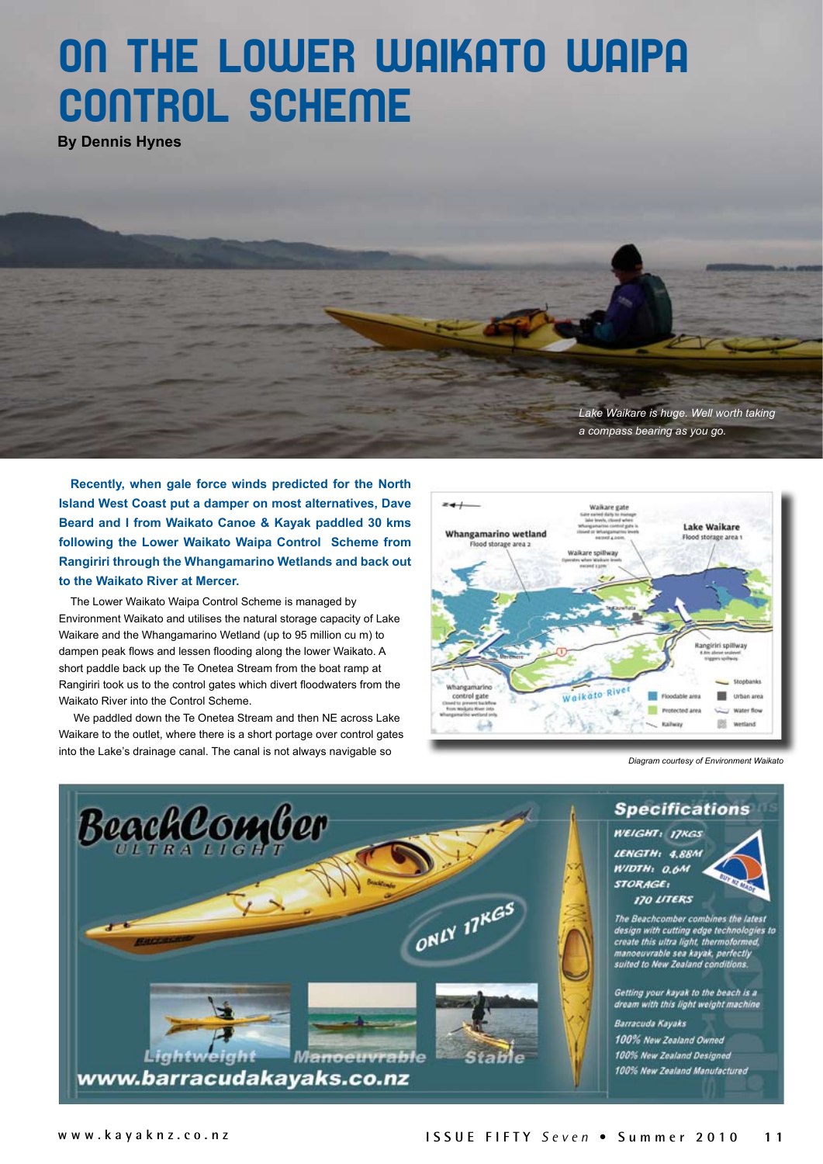## ON THE LOWER WAIKATO WAIPA CONTROL SCHEME

**By Dennis Hynes**



**Recently, when gale force winds predicted for the North Island West Coast put a damper on most alternatives, Dave Beard and I from Waikato Canoe & Kayak paddled 30 kms following the Lower Waikato Waipa Control Scheme from Rangiriri through the Whangamarino Wetlands and back out to the Waikato River at Mercer.** 

The Lower Waikato Waipa Control Scheme is managed by Environment Waikato and utilises the natural storage capacity of Lake Waikare and the Whangamarino Wetland (up to 95 million cu m) to dampen peak flows and lessen flooding along the lower Waikato. A short paddle back up the Te Onetea Stream from the boat ramp at Rangiriri took us to the control gates which divert floodwaters from the Waikato River into the Control Scheme.

 We paddled down the Te Onetea Stream and then NE across Lake Waikare to the outlet, where there is a short portage over control gates into the Lake's drainage canal. The canal is not always navigable so



*Diagram courtesy of Environment Waikato*

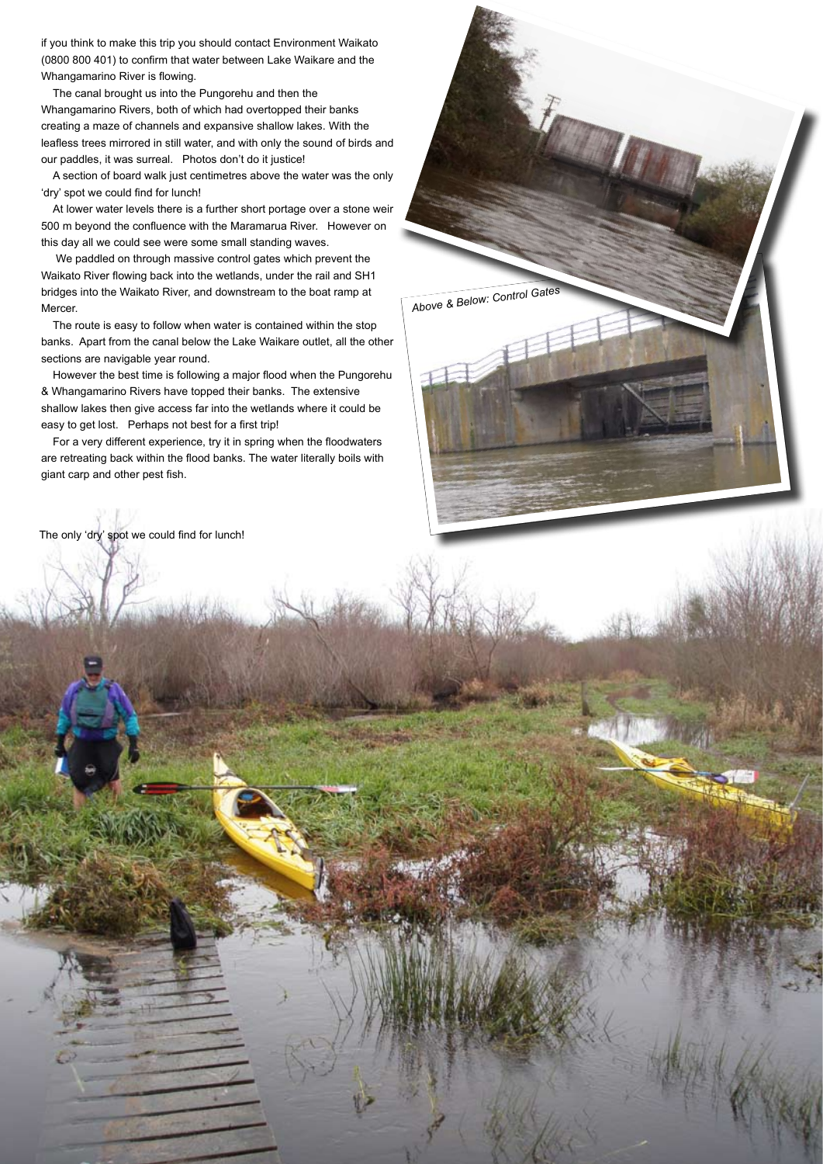if you think to make this trip you should contact Environment Waikato (0800 800 401) to confirm that water between Lake Waikare and the Whangamarino River is flowing.

The canal brought us into the Pungorehu and then the Whangamarino Rivers, both of which had overtopped their banks creating a maze of channels and expansive shallow lakes. With the leafless trees mirrored in still water, and with only the sound of birds and our paddles, it was surreal. Photos don't do it justice!

A section of board walk just centimetres above the water was the only 'dry' spot we could find for lunch!

At lower water levels there is a further short portage over a stone weir 500 m beyond the confluence with the Maramarua River. However on this day all we could see were some small standing waves.

 We paddled on through massive control gates which prevent the Waikato River flowing back into the wetlands, under the rail and SH1 bridges into the Waikato River, and downstream to the boat ramp at Mercer.

The route is easy to follow when water is contained within the stop banks. Apart from the canal below the Lake Waikare outlet, all the other sections are navigable year round.

*Above & Below: Control Gates*

However the best time is following a major flood when the Pungorehu & Whangamarino Rivers have topped their banks. The extensive shallow lakes then give access far into the wetlands where it could be easy to get lost. Perhaps not best for a first trip!

For a very different experience, try it in spring when the floodwaters are retreating back within the flood banks. The water literally boils with giant carp and other pest fish.

The only 'dry' spot we could find for lunch!